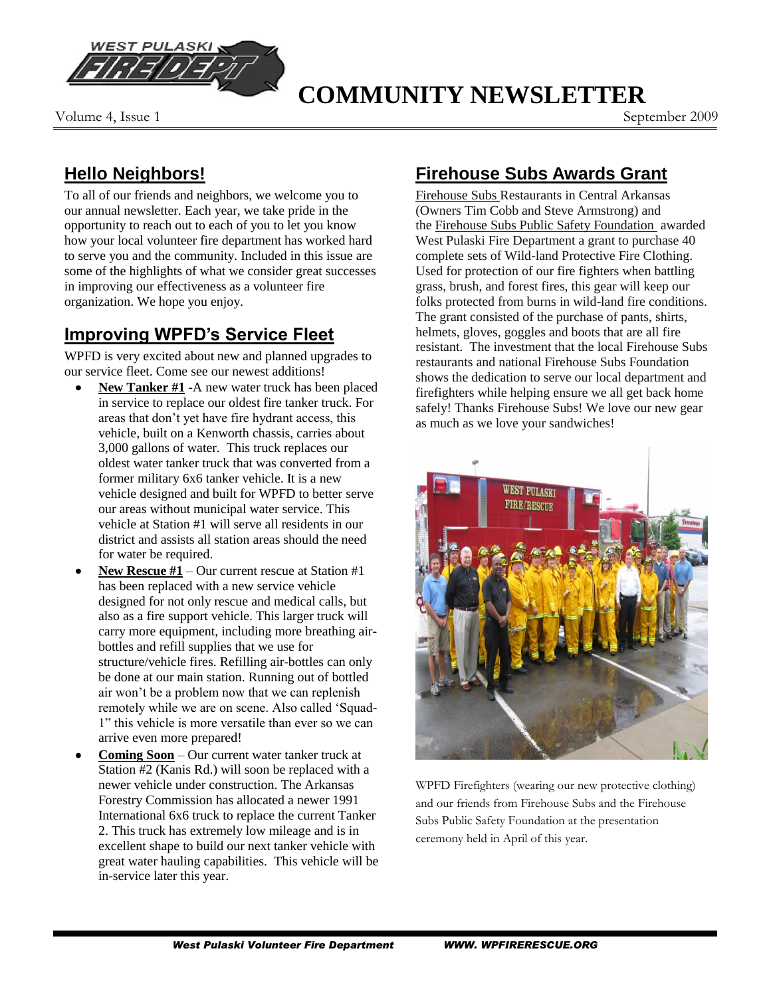

#### Volume 4, Issue 1 September 2009

# **COMMUNITY NEWSLETTER**

### **Hello Neighbors!**

To all of our friends and neighbors, we welcome you to our annual newsletter. Each year, we take pride in the opportunity to reach out to each of you to let you know how your local volunteer fire department has worked hard to serve you and the community. Included in this issue are some of the highlights of what we consider great successes in improving our effectiveness as a volunteer fire organization. We hope you enjoy.

### **Improving WPFD's Service Fleet**

WPFD is very excited about new and planned upgrades to our service fleet. Come see our newest additions!

- **New Tanker #1** -A new water truck has been placed in service to replace our oldest fire tanker truck. For areas that don"t yet have fire hydrant access, this vehicle, built on a Kenworth chassis, carries about 3,000 gallons of water. This truck replaces our oldest water tanker truck that was converted from a former military 6x6 tanker vehicle. It is a new vehicle designed and built for WPFD to better serve our areas without municipal water service. This vehicle at Station #1 will serve all residents in our district and assists all station areas should the need for water be required.
- **New Rescue #1** Our current rescue at Station #1  $\bullet$ has been replaced with a new service vehicle designed for not only rescue and medical calls, but also as a fire support vehicle. This larger truck will carry more equipment, including more breathing airbottles and refill supplies that we use for structure/vehicle fires. Refilling air-bottles can only be done at our main station. Running out of bottled air won"t be a problem now that we can replenish remotely while we are on scene. Also called "Squad-1" this vehicle is more versatile than ever so we can arrive even more prepared!
- **Coming Soon** Our current water tanker truck at Station #2 (Kanis Rd.) will soon be replaced with a newer vehicle under construction. The Arkansas Forestry Commission has allocated a newer 1991 International 6x6 truck to replace the current Tanker 2. This truck has extremely low mileage and is in excellent shape to build our next tanker vehicle with great water hauling capabilities. This vehicle will be in-service later this year.

### **Firehouse Subs Awards Grant**

[Firehouse](http://firehousesubs.com/) Subs Restaurants in Central Arkansas (Owners Tim Cobb and Steve Armstrong) and the [Firehouse Subs Public Safety Foundation](http://www.firehousesubs.com/section.cfm?id=24) awarded West Pulaski Fire Department a grant to purchase 40 complete sets of Wild-land Protective Fire Clothing. Used for protection of our fire fighters when battling grass, brush, and forest fires, this gear will keep our folks protected from burns in wild-land fire conditions. The grant consisted of the purchase of pants, shirts, helmets, gloves, goggles and boots that are all fire resistant. The investment that the local Firehouse Subs restaurants and national Firehouse Subs Foundation shows the dedication to serve our local department and firefighters while helping ensure we all get back home safely! Thanks Firehouse Subs! We love our new gear as much as we love your sandwiches!



WPFD Firefighters (wearing our new protective clothing) and our friends from Firehouse Subs and the Firehouse Subs Public Safety Foundation at the presentation ceremony held in April of this year.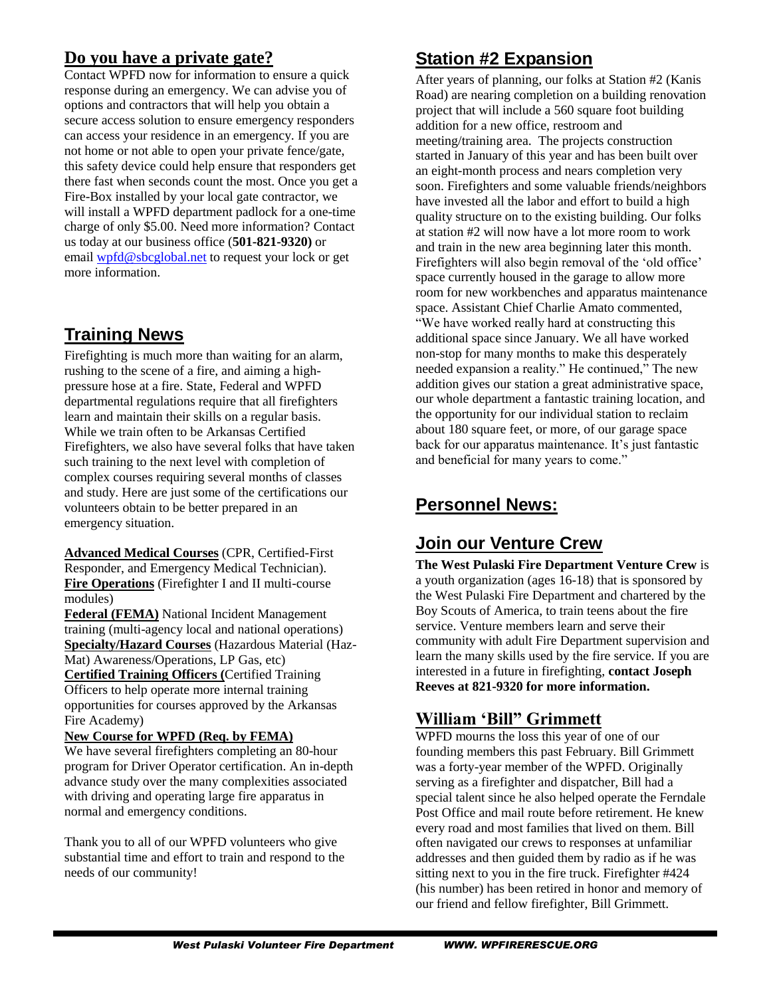#### **Do you have a private gate?**

Contact WPFD now for information to ensure a quick response during an emergency. We can advise you of options and contractors that will help you obtain a secure access solution to ensure emergency responders can access your residence in an emergency. If you are not home or not able to open your private fence/gate, this safety device could help ensure that responders get there fast when seconds count the most. Once you get a Fire-Box installed by your local gate contractor, we will install a WPFD department padlock for a one-time charge of only \$5.00. Need more information? Contact us today at our business office (**501-821-9320)** or email [wpfd@sbcglobal.net](mailto:wpfd@sbcglobal.net) to request your lock or get more information.

### **Training News**

Firefighting is much more than waiting for an alarm, rushing to the scene of a fire, and aiming a highpressure hose at a fire. State, Federal and WPFD departmental regulations require that all firefighters learn and maintain their skills on a regular basis. While we train often to be Arkansas Certified Firefighters, we also have several folks that have taken such training to the next level with completion of complex courses requiring several months of classes and study. Here are just some of the certifications our volunteers obtain to be better prepared in an emergency situation.

**Advanced Medical Courses** (CPR, Certified-First Responder, and Emergency Medical Technician). **Fire Operations** (Firefighter I and II multi-course modules)

**Federal (FEMA)** National Incident Management training (multi-agency local and national operations) **Specialty/Hazard Courses** (Hazardous Material (Haz-Mat) Awareness/Operations, LP Gas, etc)

**Certified Training Officers (**Certified Training Officers to help operate more internal training opportunities for courses approved by the Arkansas Fire Academy)

#### **New Course for WPFD (Req. by FEMA)**

We have several firefighters completing an 80-hour program for Driver Operator certification. An in-depth advance study over the many complexities associated with driving and operating large fire apparatus in normal and emergency conditions.

Thank you to all of our WPFD volunteers who give substantial time and effort to train and respond to the needs of our community!

### **Station #2 Expansion**

After years of planning, our folks at Station #2 (Kanis Road) are nearing completion on a building renovation project that will include a 560 square foot building addition for a new office, restroom and meeting/training area. The projects construction started in January of this year and has been built over an eight-month process and nears completion very soon. Firefighters and some valuable friends/neighbors have invested all the labor and effort to build a high quality structure on to the existing building. Our folks at station #2 will now have a lot more room to work and train in the new area beginning later this month. Firefighters will also begin removal of the 'old office' space currently housed in the garage to allow more room for new workbenches and apparatus maintenance space. Assistant Chief Charlie Amato commented, "We have worked really hard at constructing this additional space since January. We all have worked non-stop for many months to make this desperately needed expansion a reality." He continued," The new addition gives our station a great administrative space, our whole department a fantastic training location, and the opportunity for our individual station to reclaim about 180 square feet, or more, of our garage space back for our apparatus maintenance. It's just fantastic and beneficial for many years to come."

## **Personnel News:**

### **Join our Venture Crew**

**The West Pulaski Fire Department Venture Crew** is a youth organization (ages 16-18) that is sponsored by the West Pulaski Fire Department and chartered by the Boy Scouts of America, to train teens about the fire service. Venture members learn and serve their community with adult Fire Department supervision and learn the many skills used by the fire service. If you are interested in a future in firefighting, **contact Joseph Reeves at 821-9320 for more information.**

### **William 'Bill" Grimmett**

WPFD mourns the loss this year of one of our founding members this past February. Bill Grimmett was a forty-year member of the WPFD. Originally serving as a firefighter and dispatcher, Bill had a special talent since he also helped operate the Ferndale Post Office and mail route before retirement. He knew every road and most families that lived on them. Bill often navigated our crews to responses at unfamiliar addresses and then guided them by radio as if he was sitting next to you in the fire truck. Firefighter #424 (his number) has been retired in honor and memory of our friend and fellow firefighter, Bill Grimmett.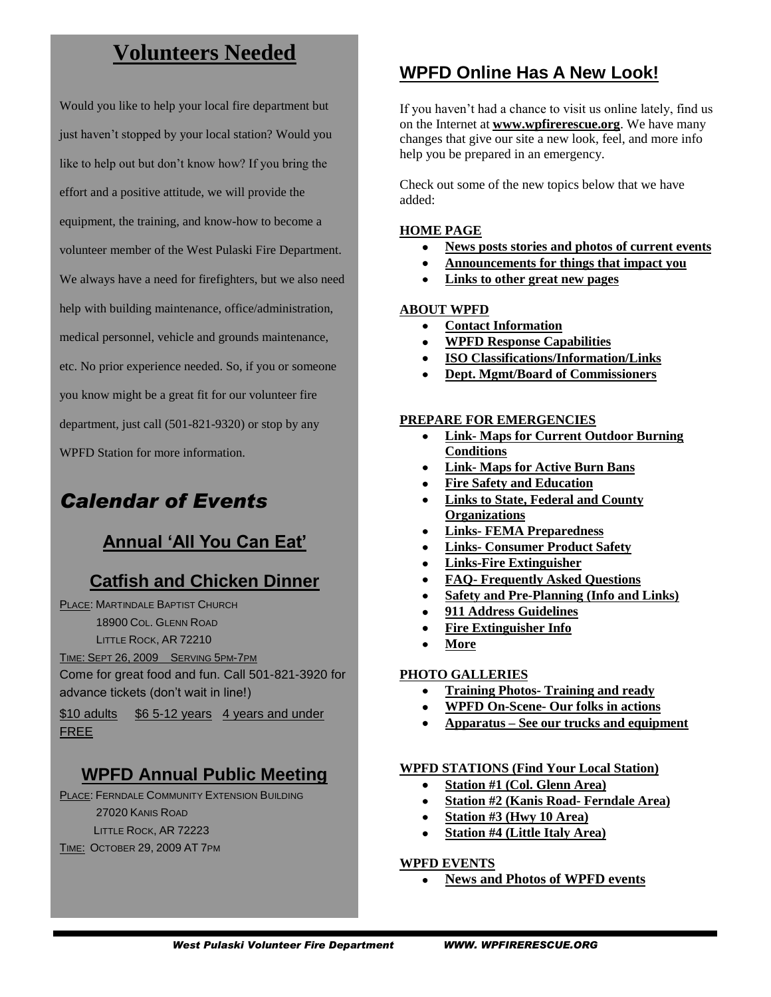## **Volunteers Needed**

Would you like to help your local fire department but just haven't stopped by your local station? Would you like to help out but don"t know how? If you bring the effort and a positive attitude, we will provide the equipment, the training, and know-how to become a volunteer member of the West Pulaski Fire Department. We always have a need for firefighters, but we also need help with building maintenance, office/administration, medical personnel, vehicle and grounds maintenance, etc. No prior experience needed. So, if you or someone you know might be a great fit for our volunteer fire department, just call (501-821-9320) or stop by any WPFD Station for more information.

# *Calendar of Events*

## **Annual 'All You Can Eat'**

## **Catfish and Chicken Dinner**

PLACE: MARTINDALE BAPTIST CHURCH

18900 COL. GLENN ROAD

LITTLE ROCK, AR 72210

TIME: SEPT 26, 2009 SERVING 5PM-7PM

Come for great food and fun. Call 501-821-3920 for advance tickets (don't wait in line!)

\$10 adults \$6 5-12 years 4 years and under FREE

## **WPFD Annual Public Meeting**

PLACE: FERNDALE COMMUNITY EXTENSION BUILDING 27020 KANIS ROAD LITTLE ROCK, AR 72223 TIME: OCTOBER 29, 2009 AT 7PM

### **WPFD Online Has A New Look!**

If you haven"t had a chance to visit us online lately, find us on the Internet at **www.wpfirerescue.org**. We have many changes that give our site a new look, feel, and more info help you be prepared in an emergency.

Check out some of the new topics below that we have added:

#### **HOME PAGE**

- **News posts stories and photos of current events**  $\bullet$
- **Announcements for things that impact you**
- **Links to other great new pages**

#### **ABOUT WPFD**

- **Contact Information**
- **WPFD Response Capabilities**
- **ISO Classifications/Information/Links**
- **Dept. Mgmt/Board of Commissioners**

#### **PREPARE FOR EMERGENCIES**

- **Link- Maps for Current Outdoor Burning Conditions**
- **Link- Maps for Active Burn Bans**
- **Fire Safety and Education**
- **Links to State, Federal and County Organizations**
- **Links- FEMA Preparedness**
- **Links- Consumer Product Safety**
- **Links-Fire Extinguisher**
- $\bullet$ **FAQ- Frequently Asked Questions**
- **Safety and Pre-Planning (Info and Links)**
- **911 Address Guidelines**
- **Fire Extinguisher Info**
- **More**

#### **PHOTO GALLERIES**

- **Training Photos- Training and ready**
- **WPFD On-Scene- Our folks in actions**
- **Apparatus – See our trucks and equipment**

#### **WPFD STATIONS (Find Your Local Station)**

- **Station #1 (Col. Glenn Area)**
- **Station #2 (Kanis Road- Ferndale Area)**
- **Station #3 (Hwy 10 Area)**
- **Station #4 (Little Italy Area)**

#### **WPFD EVENTS**

**News and Photos of WPFD events**